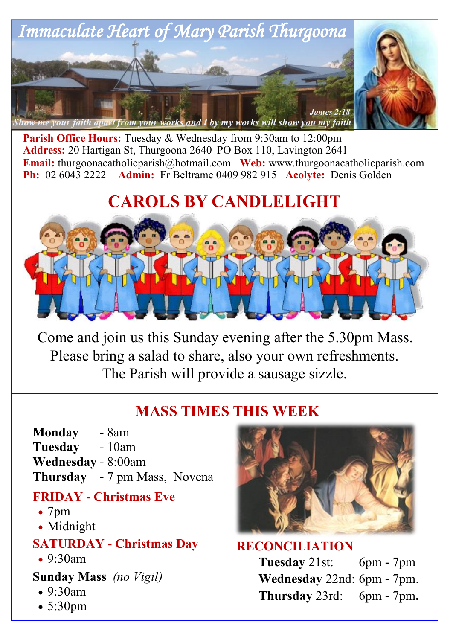

Parish Office Hours: Tuesday & Wednesday from 9:30am to 12:00pm **Address:** 20 Hartigan St, Thurgoona 2640 PO Box 110, Lavington 2641 **Email:** thurgoonacatholicparish@hotmail.com Web: www.thurgoonacatholicparish.com Ph: 02 6043 2222 Admin: Fr Beltrame 0409 982 915 Acolyte: Denis Golden **Admin:** Fr Beltrame 0409 982 915 **Acolyte:** Denis Golden

# **CAROLS BY CANDLELIGHT**



Come and join us this Sunday evening after the 5.30pm Mass. Please bring a salad to share, also your own refreshments. The Parish will provide a sausage sizzle.

# **MASS TIMES THIS WEEK**

**Monday -** 8am **Tuesday** - 10am **Wednesday** - 8:00am **Thursday** - 7 pm Mass, Novena

### **FRIDAY - Christmas Eve**

- 7pm
- Midnight

## **SATURDAY - Christmas Day**

• 9:30am

## **Sunday Mass** *(no Vigil)*

- $\cdot$  9.30am
- 5:30pm



### **RECONCILIATION**

**Tuesday** 21st: 6pm - 7pm **Wednesday** 22nd: 6pm - 7pm. **Thursday** 23rd: 6pm - 7pm**.**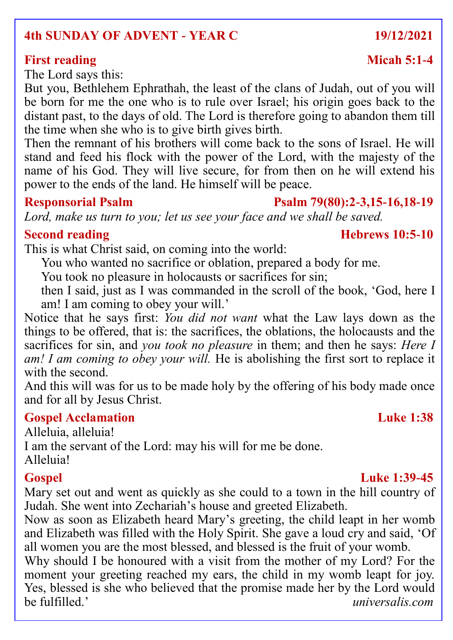### **4th SUNDAY OF ADVENT - YEAR C 19/12/2021**

### **First reading**  Micah 5:1-4

The Lord says this:

But you, Bethlehem Ephrathah, the least of the clans of Judah, out of you will be born for me the one who is to rule over Israel; his origin goes back to the distant past, to the days of old. The Lord is therefore going to abandon them till the time when she who is to give birth gives birth.

Then the remnant of his brothers will come back to the sons of Israel. He will stand and feed his flock with the power of the Lord, with the majesty of the name of his God. They will live secure, for from then on he will extend his power to the ends of the land. He himself will be peace.

### **Responsorial Psalm Psalm 79(80):2-3,15-16,18-19**

*Lord, make us turn to you; let us see your face and we shall be saved.*

This is what Christ said, on coming into the world:

You who wanted no sacrifice or oblation, prepared a body for me.

You took no pleasure in holocausts or sacrifices for sin;

then I said, just as I was commanded in the scroll of the book, 'God, here I am! I am coming to obey your will.'

Notice that he says first: *You did not want* what the Law lays down as the things to be offered, that is: the sacrifices, the oblations, the holocausts and the sacrifices for sin, and *you took no pleasure* in them; and then he says: *Here I am! I am coming to obey your will.* He is abolishing the first sort to replace it with the second.

And this will was for us to be made holy by the offering of his body made once and for all by Jesus Christ.

### **Gospel Acclamation Luke 1:38**

Alleluia, alleluia! I am the servant of the Lord: may his will for me be done. Alleluia!

### **Gospel Luke 1:39-45**

Mary set out and went as quickly as she could to a town in the hill country of Judah. She went into Zechariah's house and greeted Elizabeth.

Now as soon as Elizabeth heard Mary's greeting, the child leapt in her womb and Elizabeth was filled with the Holy Spirit. She gave a loud cry and said, 'Of all women you are the most blessed, and blessed is the fruit of your womb.

Why should I be honoured with a visit from the mother of my Lord? For the moment your greeting reached my ears, the child in my womb leapt for joy. Yes, blessed is she who believed that the promise made her by the Lord would be fulfilled.' *universalis.com*

### **Second reading The Research 2003 Represent Research 2003 Hebrews 10:5-10**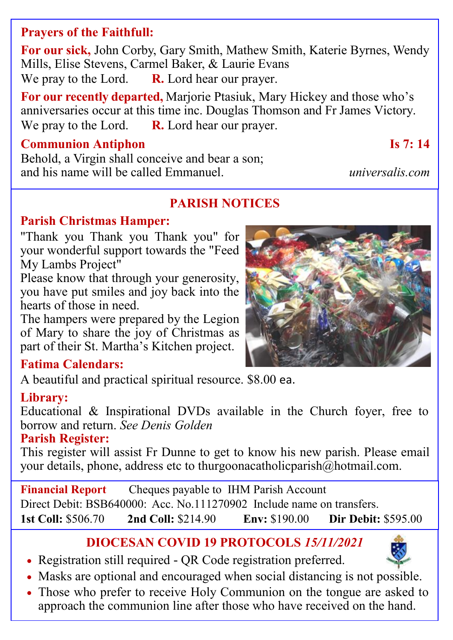## **Prayers of the Faithfull:**

**For our sick,** John Corby, Gary Smith, Mathew Smith, Katerie Byrnes, Wendy Mills, Elise Stevens, Carmel Baker, & Laurie Evans We pray to the Lord. **R.** Lord hear our prayer.

**For our recently departed,** Marjorie Ptasiuk, Mary Hickey and those who's anniversaries occur at this time inc. Douglas Thomson and Fr James Victory. We pray to the Lord. **R.** Lord hear our prayer.

### **Communion Antiphon Is 7: 14**

Behold, a Virgin shall conceive and bear a son; and his name will be called Emmanuel. *universalis.com*

## **PARISH NOTICES**

### **Parish Christmas Hamper:**

"Thank you Thank you Thank you" for your wonderful support towards the "Feed My Lambs Project"

Please know that through your generosity, you have put smiles and joy back into the hearts of those in need.

The hampers were prepared by the Legion of Mary to share the joy of Christmas as part of their St. Martha's Kitchen project.

### **Fatima Calendars:**

A beautiful and practical spiritual resource. \$8.00 ea.

### **Library:**

Educational & Inspirational DVDs available in the Church foyer, free to borrow and return. *See Denis Golden*

### **Parish Register:**

This register will assist Fr Dunne to get to know his new parish. Please email your details, phone, address etc to thurgoonacatholicparish@hotmail.com.

**Financial Report** Cheques payable to IHM Parish Account Direct Debit: BSB640000: Acc. No.111270902 Include name on transfers. **1st Coll:** \$506.70 **2nd Coll:** \$214.90 **Env:** \$190.00 **Dir Debit:** \$595.00

## **DIOCESAN COVID 19 PROTOCOLS** *15/11/2021*

- Registration still required QR Code registration preferred.
- Masks are optional and encouraged when social distancing is not possible.
- Those who prefer to receive Holy Communion on the tongue are asked to approach the communion line after those who have received on the hand.